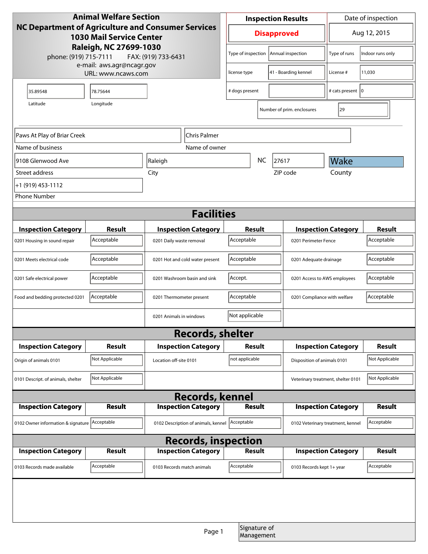| <b>Animal Welfare Section</b>                                                                                                                                   |                |                            |                                               | <b>Inspection Results</b> |                            |                                    | Date of inspection                |                  |
|-----------------------------------------------------------------------------------------------------------------------------------------------------------------|----------------|----------------------------|-----------------------------------------------|---------------------------|----------------------------|------------------------------------|-----------------------------------|------------------|
| NC Department of Agriculture and Consumer Services<br><b>1030 Mail Service Center</b><br>Raleigh, NC 27699-1030<br>phone: (919) 715-7111<br>FAX: (919) 733-6431 |                |                            | <b>Disapproved</b>                            |                           | Aug 12, 2015               |                                    |                                   |                  |
|                                                                                                                                                                 |                |                            |                                               | Type of inspection        |                            | Annual inspection                  | Type of runs                      | Indoor runs only |
| e-mail: aws.agr@ncagr.gov<br>URL: www.ncaws.com                                                                                                                 |                |                            | license type                                  |                           | 41 - Boarding kennel       | License #                          | 11,030                            |                  |
| 35.89548                                                                                                                                                        | 78.75644       |                            |                                               | # dogs present            |                            |                                    | # cats present   0                |                  |
| Longitude<br>Latitude                                                                                                                                           |                |                            |                                               |                           |                            | Number of prim. enclosures         | 29                                |                  |
|                                                                                                                                                                 |                |                            |                                               |                           |                            |                                    |                                   |                  |
| Paws At Play of Briar Creek                                                                                                                                     |                |                            | Chris Palmer                                  |                           |                            |                                    |                                   |                  |
| Name of business                                                                                                                                                |                |                            | Name of owner                                 |                           |                            |                                    |                                   |                  |
| 19108 Glenwood Ave                                                                                                                                              |                | Raleigh                    |                                               |                           | <b>NC</b><br>27617         |                                    | Wake                              |                  |
| Street address                                                                                                                                                  |                | City                       |                                               |                           |                            | ZIP code                           | County                            |                  |
| +1 (919) 453-1112                                                                                                                                               |                |                            |                                               |                           |                            |                                    |                                   |                  |
| <b>Phone Number</b>                                                                                                                                             |                |                            |                                               |                           |                            |                                    |                                   |                  |
| <b>Facilities</b>                                                                                                                                               |                |                            |                                               |                           |                            |                                    |                                   |                  |
| <b>Inspection Category</b>                                                                                                                                      | <b>Result</b>  |                            | <b>Inspection Category</b>                    | <b>Result</b>             |                            |                                    | <b>Inspection Category</b>        | <b>Result</b>    |
| 0201 Housing in sound repair                                                                                                                                    | Acceptable     | 0201 Daily waste removal   |                                               | Acceptable                |                            | 0201 Perimeter Fence               |                                   | Acceptable       |
| 0201 Meets electrical code                                                                                                                                      | Acceptable     |                            | Acceptable<br>0201 Hot and cold water present |                           | 0201 Adequate drainage     |                                    | Acceptable                        |                  |
| 0201 Safe electrical power                                                                                                                                      | Acceptable     |                            | 0201 Washroom basin and sink                  | Accept.                   |                            | 0201 Access to AWS employees       |                                   | Acceptable       |
| Food and bedding protected 0201                                                                                                                                 | Acceptable     | 0201 Thermometer present   |                                               | Acceptable                |                            | 0201 Compliance with welfare       |                                   | Acceptable       |
|                                                                                                                                                                 |                | 0201 Animals in windows    |                                               | Not applicable            |                            |                                    |                                   |                  |
| <b>Records, shelter</b>                                                                                                                                         |                |                            |                                               |                           |                            |                                    |                                   |                  |
| <b>Inspection Category</b>                                                                                                                                      | <b>Result</b>  |                            | <b>Inspection Category</b>                    | Result                    |                            | <b>Inspection Category</b>         |                                   | <b>Result</b>    |
| Origin of animals 0101                                                                                                                                          | Not Applicable | Location off-site 0101     |                                               | not applicable            |                            | Disposition of animals 0101        |                                   | Not Applicable   |
| 0101 Descript. of animals, shelter                                                                                                                              | Not Applicable |                            |                                               |                           |                            | Veterinary treatment, shelter 0101 | Not Applicable                    |                  |
| <b>Records, kennel</b>                                                                                                                                          |                |                            |                                               |                           |                            |                                    |                                   |                  |
| <b>Inspection Category</b>                                                                                                                                      | Result         | <b>Inspection Category</b> |                                               | <b>Result</b>             |                            | <b>Inspection Category</b>         |                                   | Result           |
| 0102 Owner information & signature Acceptable                                                                                                                   |                |                            | 0102 Description of animals, kennel           | Acceptable                |                            |                                    | 0102 Veterinary treatment, kennel | Acceptable       |
| <b>Records, inspection</b>                                                                                                                                      |                |                            |                                               |                           |                            |                                    |                                   |                  |
| <b>Inspection Category</b>                                                                                                                                      | <b>Result</b>  |                            | <b>Inspection Category</b>                    | <b>Result</b>             |                            |                                    | <b>Inspection Category</b>        | <b>Result</b>    |
| 0103 Records made available                                                                                                                                     | Acceptable     | 0103 Records match animals |                                               | Acceptable                |                            | 0103 Records kept 1+ year          |                                   | Acceptable       |
|                                                                                                                                                                 |                |                            |                                               |                           |                            |                                    |                                   |                  |
|                                                                                                                                                                 |                |                            |                                               |                           |                            |                                    |                                   |                  |
|                                                                                                                                                                 |                |                            | Page 1                                        |                           | Signature of<br>Management |                                    |                                   |                  |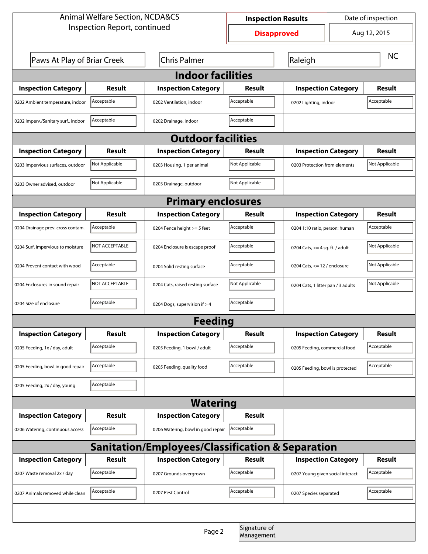| <b>Animal Welfare Section, NCDA&amp;CS</b>         |                |                                    | Date of inspection<br><b>Inspection Results</b> |                                    |                               |                |  |
|----------------------------------------------------|----------------|------------------------------------|-------------------------------------------------|------------------------------------|-------------------------------|----------------|--|
| Inspection Report, continued                       |                |                                    | <b>Disapproved</b>                              |                                    | Aug 12, 2015                  |                |  |
| Paws At Play of Briar Creek<br><b>Chris Palmer</b> |                | Raleigh                            |                                                 |                                    | <b>NC</b>                     |                |  |
| <b>Indoor facilities</b>                           |                |                                    |                                                 |                                    |                               |                |  |
| <b>Inspection Category</b>                         | Result         | <b>Inspection Category</b>         | Result                                          | <b>Inspection Category</b>         |                               | <b>Result</b>  |  |
| 0202 Ambient temperature, indoor                   | Acceptable     | 0202 Ventilation, indoor           | Acceptable                                      | 0202 Lighting, indoor              |                               | Acceptable     |  |
| 0202 Imperv./Sanitary surf., indoor                | Acceptable     | 0202 Drainage, indoor              | Acceptable                                      |                                    |                               |                |  |
| <b>Outdoor facilities</b>                          |                |                                    |                                                 |                                    |                               |                |  |
| <b>Inspection Category</b>                         | Result         | <b>Inspection Category</b>         | Result                                          |                                    | <b>Inspection Category</b>    |                |  |
| 0203 Impervious surfaces, outdoor                  | Not Applicable | 0203 Housing, 1 per animal         | Not Applicable                                  |                                    | 0203 Protection from elements |                |  |
| 0203 Owner advised, outdoor                        | Not Applicable | 0203 Drainage, outdoor             | Not Applicable                                  |                                    |                               |                |  |
| <b>Primary enclosures</b>                          |                |                                    |                                                 |                                    |                               |                |  |
| <b>Inspection Category</b>                         | Result         | <b>Inspection Category</b>         | Result                                          | <b>Inspection Category</b>         |                               | Result         |  |
| 0204 Drainage prev. cross contam.                  | Acceptable     | 0204 Fence height >= 5 feet        | Acceptable                                      | 0204 1:10 ratio, person: human     |                               | Acceptable     |  |
| 0204 Surf. impervious to moisture                  | NOT ACCEPTABLE | 0204 Enclosure is escape proof     | Acceptable                                      | 0204 Cats, $>=$ 4 sq. ft. / adult  |                               | Not Applicable |  |
| 0204 Prevent contact with wood                     | Acceptable     | 0204 Solid resting surface         | Acceptable                                      | 0204 Cats, $<= 12$ / enclosure     |                               | Not Applicable |  |
| 0204 Enclosures in sound repair                    | NOT ACCEPTABLE | 0204 Cats, raised resting surface  | Not Applicable                                  | 0204 Cats, 1 litter pan / 3 adults |                               | Not Applicable |  |
| 0204 Size of enclosure                             | Acceptable     | 0204 Dogs, supervision if > 4      | Acceptable                                      |                                    |                               |                |  |
|                                                    |                | <b>Feeding</b>                     |                                                 |                                    |                               |                |  |
| <b>Inspection Category</b>                         | <b>Result</b>  | <b>Inspection Category</b>         | <b>Result</b>                                   | <b>Inspection Category</b>         |                               | <b>Result</b>  |  |
| 0205 Feeding, 1x / day, adult                      | Acceptable     | 0205 Feeding, 1 bowl / adult       | Acceptable                                      | 0205 Feeding, commercial food      |                               | Acceptable     |  |
| 0205 Feeding, bowl in good repair                  | Acceptable     | 0205 Feeding, quality food         | Acceptable                                      | 0205 Feeding, bowl is protected    |                               | Acceptable     |  |
| 0205 Feeding, 2x / day, young                      | Acceptable     |                                    |                                                 |                                    |                               |                |  |
| <b>Watering</b>                                    |                |                                    |                                                 |                                    |                               |                |  |
| <b>Inspection Category</b>                         | <b>Result</b>  | <b>Inspection Category</b>         | <b>Result</b>                                   |                                    |                               |                |  |
| 0206 Watering, continuous access                   | Acceptable     | 0206 Watering, bowl in good repair | Acceptable                                      |                                    |                               |                |  |
| Sanitation/Employees/Classification & Separation   |                |                                    |                                                 |                                    |                               |                |  |
| <b>Inspection Category</b>                         | <b>Result</b>  | <b>Inspection Category</b>         | Result                                          | <b>Inspection Category</b>         |                               | <b>Result</b>  |  |
| 0207 Waste removal 2x / day                        | Acceptable     | 0207 Grounds overgrown             | Acceptable                                      | 0207 Young given social interact.  |                               | Acceptable     |  |
| 0207 Animals removed while clean                   | Acceptable     | 0207 Pest Control                  | Acceptable                                      | 0207 Species separated             |                               | Acceptable     |  |
|                                                    |                |                                    |                                                 |                                    |                               |                |  |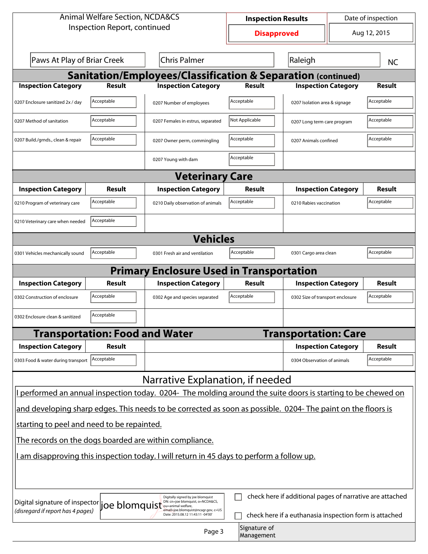| Aug 12, 2015<br><b>Disapproved</b><br>Paws At Play of Briar Creek<br><b>Chris Palmer</b><br>Raleigh<br><b>NC</b><br><b>Sanitation/Employees/Classification &amp; Separation (continued)</b><br><b>Result</b><br><b>Inspection Category</b><br><b>Result</b><br><b>Inspection Category</b><br><b>Inspection Category</b><br><b>Result</b><br>Acceptable<br>Acceptable<br>Acceptable<br>0207 Enclosure sanitized 2x / day<br>0207 Isolation area & signage<br>0207 Number of employees<br>Acceptable<br>Acceptable<br>Not Applicable<br>0207 Method of sanitation<br>0207 Females in estrus, separated<br>0207 Long term care program<br>Acceptable<br>Acceptable<br>Acceptable<br>0207 Build./grnds., clean & repair<br>0207 Owner perm, commingling<br>0207 Animals confined<br>Acceptable<br>0207 Young with dam<br><b>Veterinary Care</b><br><b>Inspection Category</b><br><b>Inspection Category</b><br><b>Inspection Category</b><br>Result<br><b>Result</b><br><b>Result</b><br>Acceptable<br>Acceptable<br>Acceptable<br>0210 Program of veterinary care<br>0210 Daily observation of animals<br>0210 Rabies vaccination<br>Acceptable<br>0210 Veterinary care when needed<br><b>Vehicles</b><br>Acceptable<br>Acceptable<br>Acceptable<br>0301 Vehicles mechanically sound<br>0301 Fresh air and ventilation<br>0301 Cargo area clean<br><b>Primary Enclosure Used in Transportation</b><br><b>Inspection Category</b><br><b>Result</b><br>Result<br><b>Inspection Category</b><br><b>Inspection Category</b><br>Result<br>Acceptable<br>Acceptable<br>Acceptable<br>0302 Construction of enclosure<br>0302 Age and species separated<br>0302 Size of transport enclosure<br>Acceptable<br>0302 Enclosure clean & sanitized<br><b>Transportation: Food and Water</b><br><b>Transportation: Care</b><br><b>Inspection Category</b><br><b>Inspection Category</b><br><b>Result</b><br>Result<br>Acceptable<br>Acceptable<br>0303 Food & water during transport<br>0304 Observation of animals<br>Narrative Explanation, if needed<br>I performed an annual inspection today. 0204- The molding around the suite doors is starting to be chewed on<br>and developing sharp edges. This needs to be corrected as soon as possible. 0204- The paint on the floors is<br>starting to peel and need to be repainted.<br>The records on the dogs boarded are within compliance.<br><u>l am disapproving this inspection today. I will return in 45 days to perform a follow up.</u><br>check here if additional pages of narrative are attached<br>Digitally signed by joe blomquist<br>DN: cn=joe blomquist, o=NCDA&CS,<br>Digital signature of inspector<br>joe blomquist<br>(disregard if report has 4 pages)<br>email=joe.blomquist@ncagr.gov, c=US<br>check here if a euthanasia inspection form is attached<br>Date: 2015.08.12 11:43:11 -04'00'<br>Signature of<br>Page 3 | <b>Animal Welfare Section, NCDA&amp;CS</b> |  |  | Date of inspection<br><b>Inspection Results</b> |  |  |  |  |
|---------------------------------------------------------------------------------------------------------------------------------------------------------------------------------------------------------------------------------------------------------------------------------------------------------------------------------------------------------------------------------------------------------------------------------------------------------------------------------------------------------------------------------------------------------------------------------------------------------------------------------------------------------------------------------------------------------------------------------------------------------------------------------------------------------------------------------------------------------------------------------------------------------------------------------------------------------------------------------------------------------------------------------------------------------------------------------------------------------------------------------------------------------------------------------------------------------------------------------------------------------------------------------------------------------------------------------------------------------------------------------------------------------------------------------------------------------------------------------------------------------------------------------------------------------------------------------------------------------------------------------------------------------------------------------------------------------------------------------------------------------------------------------------------------------------------------------------------------------------------------------------------------------------------------------------------------------------------------------------------------------------------------------------------------------------------------------------------------------------------------------------------------------------------------------------------------------------------------------------------------------------------------------------------------------------------------------------------------------------------------------------------------------------------------------------------------------------------------------------------------------------------------------------------------------------------------------------------------------------------------------------------------------------------------------------------------------------------------------------------------------------------------------------------------------------------------------------------------------------------------------|--------------------------------------------|--|--|-------------------------------------------------|--|--|--|--|
|                                                                                                                                                                                                                                                                                                                                                                                                                                                                                                                                                                                                                                                                                                                                                                                                                                                                                                                                                                                                                                                                                                                                                                                                                                                                                                                                                                                                                                                                                                                                                                                                                                                                                                                                                                                                                                                                                                                                                                                                                                                                                                                                                                                                                                                                                                                                                                                                                                                                                                                                                                                                                                                                                                                                                                                                                                                                                 | Inspection Report, continued               |  |  |                                                 |  |  |  |  |
|                                                                                                                                                                                                                                                                                                                                                                                                                                                                                                                                                                                                                                                                                                                                                                                                                                                                                                                                                                                                                                                                                                                                                                                                                                                                                                                                                                                                                                                                                                                                                                                                                                                                                                                                                                                                                                                                                                                                                                                                                                                                                                                                                                                                                                                                                                                                                                                                                                                                                                                                                                                                                                                                                                                                                                                                                                                                                 |                                            |  |  |                                                 |  |  |  |  |
|                                                                                                                                                                                                                                                                                                                                                                                                                                                                                                                                                                                                                                                                                                                                                                                                                                                                                                                                                                                                                                                                                                                                                                                                                                                                                                                                                                                                                                                                                                                                                                                                                                                                                                                                                                                                                                                                                                                                                                                                                                                                                                                                                                                                                                                                                                                                                                                                                                                                                                                                                                                                                                                                                                                                                                                                                                                                                 |                                            |  |  |                                                 |  |  |  |  |
|                                                                                                                                                                                                                                                                                                                                                                                                                                                                                                                                                                                                                                                                                                                                                                                                                                                                                                                                                                                                                                                                                                                                                                                                                                                                                                                                                                                                                                                                                                                                                                                                                                                                                                                                                                                                                                                                                                                                                                                                                                                                                                                                                                                                                                                                                                                                                                                                                                                                                                                                                                                                                                                                                                                                                                                                                                                                                 |                                            |  |  |                                                 |  |  |  |  |
|                                                                                                                                                                                                                                                                                                                                                                                                                                                                                                                                                                                                                                                                                                                                                                                                                                                                                                                                                                                                                                                                                                                                                                                                                                                                                                                                                                                                                                                                                                                                                                                                                                                                                                                                                                                                                                                                                                                                                                                                                                                                                                                                                                                                                                                                                                                                                                                                                                                                                                                                                                                                                                                                                                                                                                                                                                                                                 |                                            |  |  |                                                 |  |  |  |  |
|                                                                                                                                                                                                                                                                                                                                                                                                                                                                                                                                                                                                                                                                                                                                                                                                                                                                                                                                                                                                                                                                                                                                                                                                                                                                                                                                                                                                                                                                                                                                                                                                                                                                                                                                                                                                                                                                                                                                                                                                                                                                                                                                                                                                                                                                                                                                                                                                                                                                                                                                                                                                                                                                                                                                                                                                                                                                                 |                                            |  |  |                                                 |  |  |  |  |
|                                                                                                                                                                                                                                                                                                                                                                                                                                                                                                                                                                                                                                                                                                                                                                                                                                                                                                                                                                                                                                                                                                                                                                                                                                                                                                                                                                                                                                                                                                                                                                                                                                                                                                                                                                                                                                                                                                                                                                                                                                                                                                                                                                                                                                                                                                                                                                                                                                                                                                                                                                                                                                                                                                                                                                                                                                                                                 |                                            |  |  |                                                 |  |  |  |  |
|                                                                                                                                                                                                                                                                                                                                                                                                                                                                                                                                                                                                                                                                                                                                                                                                                                                                                                                                                                                                                                                                                                                                                                                                                                                                                                                                                                                                                                                                                                                                                                                                                                                                                                                                                                                                                                                                                                                                                                                                                                                                                                                                                                                                                                                                                                                                                                                                                                                                                                                                                                                                                                                                                                                                                                                                                                                                                 |                                            |  |  |                                                 |  |  |  |  |
|                                                                                                                                                                                                                                                                                                                                                                                                                                                                                                                                                                                                                                                                                                                                                                                                                                                                                                                                                                                                                                                                                                                                                                                                                                                                                                                                                                                                                                                                                                                                                                                                                                                                                                                                                                                                                                                                                                                                                                                                                                                                                                                                                                                                                                                                                                                                                                                                                                                                                                                                                                                                                                                                                                                                                                                                                                                                                 |                                            |  |  |                                                 |  |  |  |  |
|                                                                                                                                                                                                                                                                                                                                                                                                                                                                                                                                                                                                                                                                                                                                                                                                                                                                                                                                                                                                                                                                                                                                                                                                                                                                                                                                                                                                                                                                                                                                                                                                                                                                                                                                                                                                                                                                                                                                                                                                                                                                                                                                                                                                                                                                                                                                                                                                                                                                                                                                                                                                                                                                                                                                                                                                                                                                                 |                                            |  |  |                                                 |  |  |  |  |
|                                                                                                                                                                                                                                                                                                                                                                                                                                                                                                                                                                                                                                                                                                                                                                                                                                                                                                                                                                                                                                                                                                                                                                                                                                                                                                                                                                                                                                                                                                                                                                                                                                                                                                                                                                                                                                                                                                                                                                                                                                                                                                                                                                                                                                                                                                                                                                                                                                                                                                                                                                                                                                                                                                                                                                                                                                                                                 |                                            |  |  |                                                 |  |  |  |  |
|                                                                                                                                                                                                                                                                                                                                                                                                                                                                                                                                                                                                                                                                                                                                                                                                                                                                                                                                                                                                                                                                                                                                                                                                                                                                                                                                                                                                                                                                                                                                                                                                                                                                                                                                                                                                                                                                                                                                                                                                                                                                                                                                                                                                                                                                                                                                                                                                                                                                                                                                                                                                                                                                                                                                                                                                                                                                                 |                                            |  |  |                                                 |  |  |  |  |
|                                                                                                                                                                                                                                                                                                                                                                                                                                                                                                                                                                                                                                                                                                                                                                                                                                                                                                                                                                                                                                                                                                                                                                                                                                                                                                                                                                                                                                                                                                                                                                                                                                                                                                                                                                                                                                                                                                                                                                                                                                                                                                                                                                                                                                                                                                                                                                                                                                                                                                                                                                                                                                                                                                                                                                                                                                                                                 |                                            |  |  |                                                 |  |  |  |  |
|                                                                                                                                                                                                                                                                                                                                                                                                                                                                                                                                                                                                                                                                                                                                                                                                                                                                                                                                                                                                                                                                                                                                                                                                                                                                                                                                                                                                                                                                                                                                                                                                                                                                                                                                                                                                                                                                                                                                                                                                                                                                                                                                                                                                                                                                                                                                                                                                                                                                                                                                                                                                                                                                                                                                                                                                                                                                                 |                                            |  |  |                                                 |  |  |  |  |
|                                                                                                                                                                                                                                                                                                                                                                                                                                                                                                                                                                                                                                                                                                                                                                                                                                                                                                                                                                                                                                                                                                                                                                                                                                                                                                                                                                                                                                                                                                                                                                                                                                                                                                                                                                                                                                                                                                                                                                                                                                                                                                                                                                                                                                                                                                                                                                                                                                                                                                                                                                                                                                                                                                                                                                                                                                                                                 |                                            |  |  |                                                 |  |  |  |  |
|                                                                                                                                                                                                                                                                                                                                                                                                                                                                                                                                                                                                                                                                                                                                                                                                                                                                                                                                                                                                                                                                                                                                                                                                                                                                                                                                                                                                                                                                                                                                                                                                                                                                                                                                                                                                                                                                                                                                                                                                                                                                                                                                                                                                                                                                                                                                                                                                                                                                                                                                                                                                                                                                                                                                                                                                                                                                                 |                                            |  |  |                                                 |  |  |  |  |
|                                                                                                                                                                                                                                                                                                                                                                                                                                                                                                                                                                                                                                                                                                                                                                                                                                                                                                                                                                                                                                                                                                                                                                                                                                                                                                                                                                                                                                                                                                                                                                                                                                                                                                                                                                                                                                                                                                                                                                                                                                                                                                                                                                                                                                                                                                                                                                                                                                                                                                                                                                                                                                                                                                                                                                                                                                                                                 |                                            |  |  |                                                 |  |  |  |  |
|                                                                                                                                                                                                                                                                                                                                                                                                                                                                                                                                                                                                                                                                                                                                                                                                                                                                                                                                                                                                                                                                                                                                                                                                                                                                                                                                                                                                                                                                                                                                                                                                                                                                                                                                                                                                                                                                                                                                                                                                                                                                                                                                                                                                                                                                                                                                                                                                                                                                                                                                                                                                                                                                                                                                                                                                                                                                                 |                                            |  |  |                                                 |  |  |  |  |
|                                                                                                                                                                                                                                                                                                                                                                                                                                                                                                                                                                                                                                                                                                                                                                                                                                                                                                                                                                                                                                                                                                                                                                                                                                                                                                                                                                                                                                                                                                                                                                                                                                                                                                                                                                                                                                                                                                                                                                                                                                                                                                                                                                                                                                                                                                                                                                                                                                                                                                                                                                                                                                                                                                                                                                                                                                                                                 |                                            |  |  |                                                 |  |  |  |  |
|                                                                                                                                                                                                                                                                                                                                                                                                                                                                                                                                                                                                                                                                                                                                                                                                                                                                                                                                                                                                                                                                                                                                                                                                                                                                                                                                                                                                                                                                                                                                                                                                                                                                                                                                                                                                                                                                                                                                                                                                                                                                                                                                                                                                                                                                                                                                                                                                                                                                                                                                                                                                                                                                                                                                                                                                                                                                                 |                                            |  |  |                                                 |  |  |  |  |
|                                                                                                                                                                                                                                                                                                                                                                                                                                                                                                                                                                                                                                                                                                                                                                                                                                                                                                                                                                                                                                                                                                                                                                                                                                                                                                                                                                                                                                                                                                                                                                                                                                                                                                                                                                                                                                                                                                                                                                                                                                                                                                                                                                                                                                                                                                                                                                                                                                                                                                                                                                                                                                                                                                                                                                                                                                                                                 |                                            |  |  |                                                 |  |  |  |  |
|                                                                                                                                                                                                                                                                                                                                                                                                                                                                                                                                                                                                                                                                                                                                                                                                                                                                                                                                                                                                                                                                                                                                                                                                                                                                                                                                                                                                                                                                                                                                                                                                                                                                                                                                                                                                                                                                                                                                                                                                                                                                                                                                                                                                                                                                                                                                                                                                                                                                                                                                                                                                                                                                                                                                                                                                                                                                                 |                                            |  |  |                                                 |  |  |  |  |
|                                                                                                                                                                                                                                                                                                                                                                                                                                                                                                                                                                                                                                                                                                                                                                                                                                                                                                                                                                                                                                                                                                                                                                                                                                                                                                                                                                                                                                                                                                                                                                                                                                                                                                                                                                                                                                                                                                                                                                                                                                                                                                                                                                                                                                                                                                                                                                                                                                                                                                                                                                                                                                                                                                                                                                                                                                                                                 |                                            |  |  |                                                 |  |  |  |  |
|                                                                                                                                                                                                                                                                                                                                                                                                                                                                                                                                                                                                                                                                                                                                                                                                                                                                                                                                                                                                                                                                                                                                                                                                                                                                                                                                                                                                                                                                                                                                                                                                                                                                                                                                                                                                                                                                                                                                                                                                                                                                                                                                                                                                                                                                                                                                                                                                                                                                                                                                                                                                                                                                                                                                                                                                                                                                                 |                                            |  |  |                                                 |  |  |  |  |
|                                                                                                                                                                                                                                                                                                                                                                                                                                                                                                                                                                                                                                                                                                                                                                                                                                                                                                                                                                                                                                                                                                                                                                                                                                                                                                                                                                                                                                                                                                                                                                                                                                                                                                                                                                                                                                                                                                                                                                                                                                                                                                                                                                                                                                                                                                                                                                                                                                                                                                                                                                                                                                                                                                                                                                                                                                                                                 |                                            |  |  |                                                 |  |  |  |  |
|                                                                                                                                                                                                                                                                                                                                                                                                                                                                                                                                                                                                                                                                                                                                                                                                                                                                                                                                                                                                                                                                                                                                                                                                                                                                                                                                                                                                                                                                                                                                                                                                                                                                                                                                                                                                                                                                                                                                                                                                                                                                                                                                                                                                                                                                                                                                                                                                                                                                                                                                                                                                                                                                                                                                                                                                                                                                                 |                                            |  |  |                                                 |  |  |  |  |
|                                                                                                                                                                                                                                                                                                                                                                                                                                                                                                                                                                                                                                                                                                                                                                                                                                                                                                                                                                                                                                                                                                                                                                                                                                                                                                                                                                                                                                                                                                                                                                                                                                                                                                                                                                                                                                                                                                                                                                                                                                                                                                                                                                                                                                                                                                                                                                                                                                                                                                                                                                                                                                                                                                                                                                                                                                                                                 |                                            |  |  |                                                 |  |  |  |  |
|                                                                                                                                                                                                                                                                                                                                                                                                                                                                                                                                                                                                                                                                                                                                                                                                                                                                                                                                                                                                                                                                                                                                                                                                                                                                                                                                                                                                                                                                                                                                                                                                                                                                                                                                                                                                                                                                                                                                                                                                                                                                                                                                                                                                                                                                                                                                                                                                                                                                                                                                                                                                                                                                                                                                                                                                                                                                                 |                                            |  |  |                                                 |  |  |  |  |
|                                                                                                                                                                                                                                                                                                                                                                                                                                                                                                                                                                                                                                                                                                                                                                                                                                                                                                                                                                                                                                                                                                                                                                                                                                                                                                                                                                                                                                                                                                                                                                                                                                                                                                                                                                                                                                                                                                                                                                                                                                                                                                                                                                                                                                                                                                                                                                                                                                                                                                                                                                                                                                                                                                                                                                                                                                                                                 |                                            |  |  |                                                 |  |  |  |  |
|                                                                                                                                                                                                                                                                                                                                                                                                                                                                                                                                                                                                                                                                                                                                                                                                                                                                                                                                                                                                                                                                                                                                                                                                                                                                                                                                                                                                                                                                                                                                                                                                                                                                                                                                                                                                                                                                                                                                                                                                                                                                                                                                                                                                                                                                                                                                                                                                                                                                                                                                                                                                                                                                                                                                                                                                                                                                                 |                                            |  |  |                                                 |  |  |  |  |